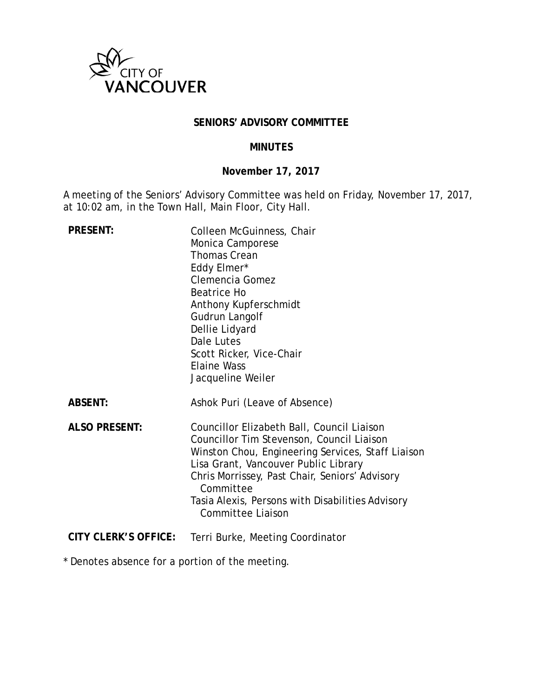

#### **SENIORS' ADVISORY COMMITTEE**

#### **MINUTES**

### **November 17, 2017**

A meeting of the Seniors' Advisory Committee was held on Friday, November 17, 2017, at 10:02 am, in the Town Hall, Main Floor, City Hall.

| <b>PRESENT:</b>             | Colleen McGuinness, Chair<br>Monica Camporese<br><b>Thomas Crean</b><br>Eddy Elmer*<br>Clemencia Gomez<br>Beatrice Ho<br>Anthony Kupferschmidt<br>Gudrun Langolf<br>Dellie Lidyard<br>Dale Lutes<br>Scott Ricker, Vice-Chair<br><b>Elaine Wass</b><br>Jacqueline Weiler                                                      |
|-----------------------------|------------------------------------------------------------------------------------------------------------------------------------------------------------------------------------------------------------------------------------------------------------------------------------------------------------------------------|
| <b>ABSENT:</b>              | Ashok Puri (Leave of Absence)                                                                                                                                                                                                                                                                                                |
| <b>ALSO PRESENT:</b>        | Councillor Elizabeth Ball, Council Liaison<br>Councillor Tim Stevenson, Council Liaison<br>Winston Chou, Engineering Services, Staff Liaison<br>Lisa Grant, Vancouver Public Library<br>Chris Morrissey, Past Chair, Seniors' Advisory<br>Committee<br>Tasia Alexis, Persons with Disabilities Advisory<br>Committee Liaison |
| <b>CITY CLERK'S OFFICE:</b> | Terri Burke, Meeting Coordinator                                                                                                                                                                                                                                                                                             |

\* Denotes absence for a portion of the meeting.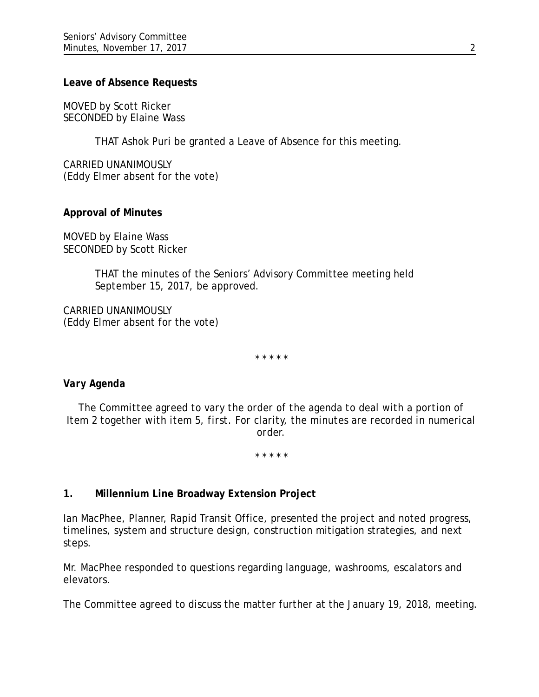### **Leave of Absence Requests**

MOVED by Scott Ricker SECONDED by Elaine Wass

THAT Ashok Puri be granted a Leave of Absence for this meeting.

CARRIED UNANIMOUSLY (Eddy Elmer absent for the vote)

# **Approval of Minutes**

MOVED by Elaine Wass SECONDED by Scott Ricker

> THAT the minutes of the Seniors' Advisory Committee meeting held September 15, 2017, be approved.

CARRIED UNANIMOUSLY (Eddy Elmer absent for the vote)

\* \* \* \* \*

### *Vary Agenda*

*The Committee agreed to vary the order of the agenda to deal with a portion of Item 2 together with item 5, first. For clarity, the minutes are recorded in numerical order.*

\* \* \* \* \*

### **1. Millennium Line Broadway Extension Project**

Ian MacPhee, Planner, Rapid Transit Office, presented the project and noted progress, timelines, system and structure design, construction mitigation strategies, and next steps.

Mr. MacPhee responded to questions regarding language, washrooms, escalators and elevators.

The Committee agreed to discuss the matter further at the January 19, 2018, meeting.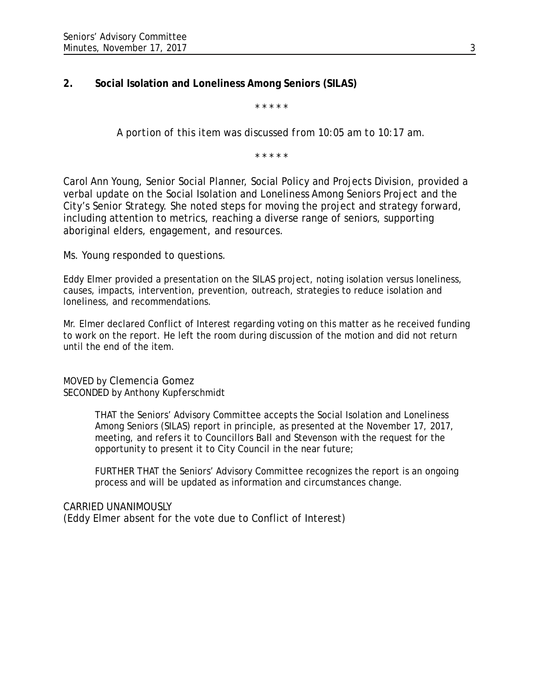# **2. Social Isolation and Loneliness Among Seniors (SILAS)**

\* \* \* \* \*

*A portion of this item was discussed from 10:05 am to 10:17 am.*

\* \* \* \* \*

Carol Ann Young, Senior Social Planner, Social Policy and Projects Division, provided a verbal update on the Social Isolation and Loneliness Among Seniors Project and the City's Senior Strategy. She noted steps for moving the project and strategy forward, including attention to metrics, reaching a diverse range of seniors, supporting aboriginal elders, engagement, and resources.

Ms. Young responded to questions.

Eddy Elmer provided a presentation on the SILAS project, noting isolation versus loneliness, causes, impacts, intervention, prevention, outreach, strategies to reduce isolation and loneliness, and recommendations.

Mr. Elmer declared Conflict of Interest regarding voting on this matter as he received funding to work on the report. He left the room during discussion of the motion and did not return until the end of the item.

MOVED by Clemencia Gomez SECONDED by Anthony Kupferschmidt

> THAT the Seniors' Advisory Committee accepts the Social Isolation and Loneliness Among Seniors (SILAS) report in principle, as presented at the November 17, 2017, meeting, and refers it to Councillors Ball and Stevenson with the request for the opportunity to present it to City Council in the near future;

FURTHER THAT the Seniors' Advisory Committee recognizes the report is an ongoing process and will be updated as information and circumstances change.

CARRIED UNANIMOUSLY (Eddy Elmer absent for the vote due to Conflict of Interest)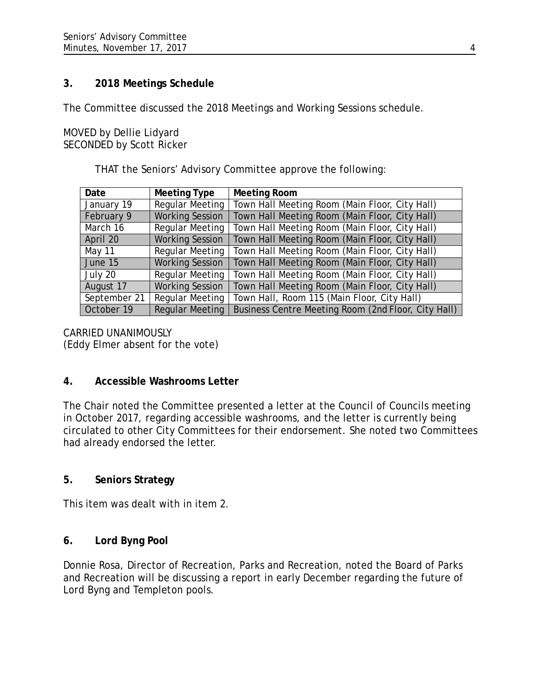## **3. 2018 Meetings Schedule**

The Committee discussed the 2018 Meetings and Working Sessions schedule.

MOVED by Dellie Lidyard SECONDED by Scott Ricker

THAT the Seniors' Advisory Committee approve the following:

| Date         | Meeting Type           | <b>Meeting Room</b>                                 |
|--------------|------------------------|-----------------------------------------------------|
| January 19   | Regular Meeting        | Town Hall Meeting Room (Main Floor, City Hall)      |
| February 9   | <b>Working Session</b> | Town Hall Meeting Room (Main Floor, City Hall)      |
| March 16     | Regular Meeting        | Town Hall Meeting Room (Main Floor, City Hall)      |
| April 20     | <b>Working Session</b> | Town Hall Meeting Room (Main Floor, City Hall)      |
| May 11       | <b>Regular Meeting</b> | Town Hall Meeting Room (Main Floor, City Hall)      |
| June 15      | <b>Working Session</b> | Town Hall Meeting Room (Main Floor, City Hall)      |
| July 20      | Regular Meeting        | Town Hall Meeting Room (Main Floor, City Hall)      |
| August 17    | <b>Working Session</b> | Town Hall Meeting Room (Main Floor, City Hall)      |
| September 21 | Regular Meeting        | Town Hall, Room 115 (Main Floor, City Hall)         |
| October 19   | Regular Meeting        | Business Centre Meeting Room (2nd Floor, City Hall) |

CARRIED UNANIMOUSLY (Eddy Elmer absent for the vote)

# **4. Accessible Washrooms Letter**

The Chair noted the Committee presented a letter at the Council of Councils meeting in October 2017, regarding accessible washrooms, and the letter is currently being circulated to other City Committees for their endorsement. She noted two Committees had already endorsed the letter.

# **5. Seniors Strategy**

This item was dealt with in item 2.

# **6. Lord Byng Pool**

Donnie Rosa, Director of Recreation, Parks and Recreation, noted the Board of Parks and Recreation will be discussing a report in early December regarding the future of Lord Byng and Templeton pools.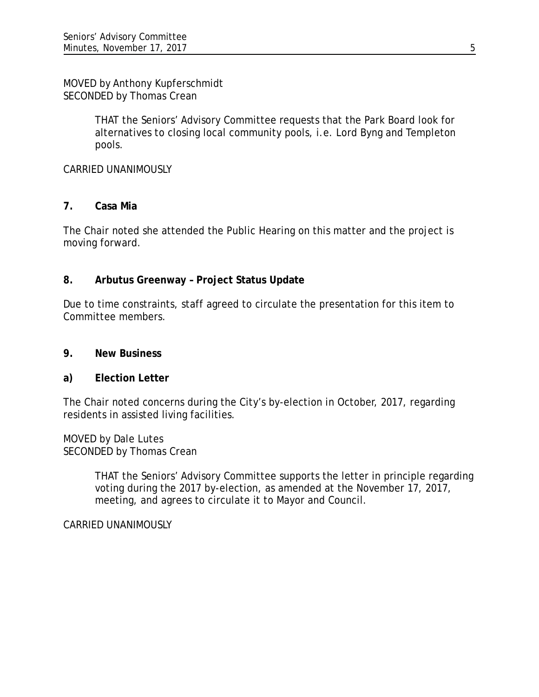MOVED by Anthony Kupferschmidt SECONDED by Thomas Crean

> THAT the Seniors' Advisory Committee requests that the Park Board look for alternatives to closing local community pools, i.e. Lord Byng and Templeton pools.

### CARRIED UNANIMOUSLY

### **7. Casa Mia**

The Chair noted she attended the Public Hearing on this matter and the project is moving forward.

## **8. Arbutus Greenway – Project Status Update**

Due to time constraints, staff agreed to circulate the presentation for this item to Committee members.

#### **9. New Business**

### **a) Election Letter**

The Chair noted concerns during the City's by-election in October, 2017, regarding residents in assisted living facilities.

MOVED by Dale Lutes SECONDED by Thomas Crean

> THAT the Seniors' Advisory Committee supports the letter in principle regarding voting during the 2017 by-election, as amended at the November 17, 2017, meeting, and agrees to circulate it to Mayor and Council.

CARRIED UNANIMOUSLY